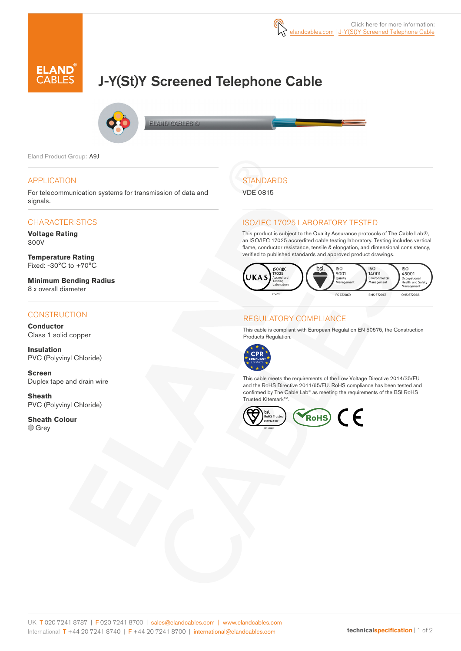

# J-Y(St)Y Screened Telephone Cable



**ELAND CABLES &** 

Eland Product Group: A9J

### APPLICATION

For telecommunication systems for transmission of data and signals.

### **CHARACTERISTICS**

**Voltage Rating**  300V

**Temperature Rating** Fixed: -30°C to +70°C

**Minimum Bending Radius**  8 x overall diameter

### **CONSTRUCTION**

**Conductor** Class 1 solid copper

**Insulation** PVC (Polyvinyl Chloride)

**Screen** Duplex tape and drain wire

**Sheath** PVC (Polyvinyl Chloride)

**Sheath Colour** O Grev

## **STANDARDS**

VDE 0815

### ISO/IEC 17025 LABORATORY TESTED

This product is subject to the Quality Assurance protocols of The Cable Lab®, an ISO/IEC 17025 accredited cable testing laboratory. Testing includes vertical flame, conductor resistance, tensile & elongation, and dimensional consistency, verified to published standards and approved product drawings.



### REGULATORY COMPLIANCE

This cable is compliant with European Regulation EN 50575, the Construction Products Regulation.



This cable meets the requirements of the Low Voltage Directive 2014/35/EU and the RoHS Directive 2011/65/EU. RoHS compliance has been tested and confirmed by The Cable Lab® as meeting the requirements of the BSI RoHS Trusted Kitemark™.